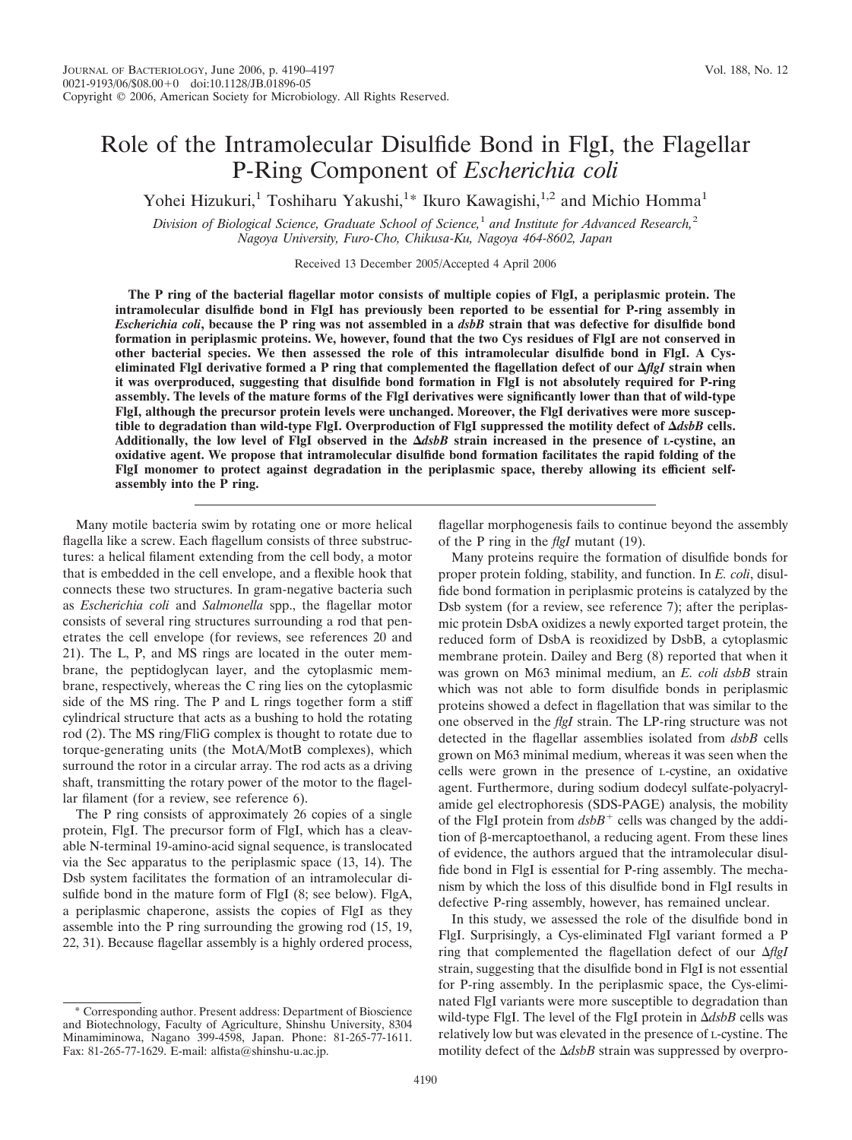Yohei Hizukuri,<sup>1</sup> Toshiharu Yakushi,<sup>1</sup>\* Ikuro Kawagishi,<sup>1,2</sup> and Michio Homma<sup>1</sup>

*Division of Biological Science, Graduate School of Science,*<sup>1</sup> *and Institute for Advanced Research,*<sup>2</sup> *Nagoya University, Furo-Cho, Chikusa-Ku, Nagoya 464-8602, Japan*

Received 13 December 2005/Accepted 4 April 2006

**The P ring of the bacterial flagellar motor consists of multiple copies of FlgI, a periplasmic protein. The intramolecular disulfide bond in FlgI has previously been reported to be essential for P-ring assembly in** *Escherichia coli***, because the P ring was not assembled in a** *dsbB* **strain that was defective for disulfide bond formation in periplasmic proteins. We, however, found that the two Cys residues of FlgI are not conserved in other bacterial species. We then assessed the role of this intramolecular disulfide bond in FlgI. A Cyseliminated FlgI derivative formed a P ring that complemented the flagellation defect of our** *flgI* **strain when it was overproduced, suggesting that disulfide bond formation in FlgI is not absolutely required for P-ring assembly. The levels of the mature forms of the FlgI derivatives were significantly lower than that of wild-type FlgI, although the precursor protein levels were unchanged. Moreover, the FlgI derivatives were more susceptible to degradation than wild-type FlgI. Overproduction of FlgI suppressed the motility defect of** *dsbB* **cells. Additionally, the low level of FlgI observed in the** *dsbB* **strain increased in the presence of L-cystine, an oxidative agent. We propose that intramolecular disulfide bond formation facilitates the rapid folding of the FlgI monomer to protect against degradation in the periplasmic space, thereby allowing its efficient selfassembly into the P ring.**

Many motile bacteria swim by rotating one or more helical flagella like a screw. Each flagellum consists of three substructures: a helical filament extending from the cell body, a motor that is embedded in the cell envelope, and a flexible hook that connects these two structures. In gram-negative bacteria such as *Escherichia coli* and *Salmonella* spp., the flagellar motor consists of several ring structures surrounding a rod that penetrates the cell envelope (for reviews, see references 20 and 21). The L, P, and MS rings are located in the outer membrane, the peptidoglycan layer, and the cytoplasmic membrane, respectively, whereas the C ring lies on the cytoplasmic side of the MS ring. The P and L rings together form a stiff cylindrical structure that acts as a bushing to hold the rotating rod (2). The MS ring/FliG complex is thought to rotate due to torque-generating units (the MotA/MotB complexes), which surround the rotor in a circular array. The rod acts as a driving shaft, transmitting the rotary power of the motor to the flagellar filament (for a review, see reference 6).

The P ring consists of approximately 26 copies of a single protein, FlgI. The precursor form of FlgI, which has a cleavable N-terminal 19-amino-acid signal sequence, is translocated via the Sec apparatus to the periplasmic space (13, 14). The Dsb system facilitates the formation of an intramolecular disulfide bond in the mature form of FlgI (8; see below). FlgA, a periplasmic chaperone, assists the copies of FlgI as they assemble into the P ring surrounding the growing rod (15, 19, 22, 31). Because flagellar assembly is a highly ordered process,

\* Corresponding author. Present address: Department of Bioscience and Biotechnology, Faculty of Agriculture, Shinshu University, 8304 Minamiminowa, Nagano 399-4598, Japan. Phone: 81-265-77-1611. Fax: 81-265-77-1629. E-mail: alfista@shinshu-u.ac.jp.

flagellar morphogenesis fails to continue beyond the assembly of the P ring in the *flgI* mutant (19).

Many proteins require the formation of disulfide bonds for proper protein folding, stability, and function. In *E. coli*, disulfide bond formation in periplasmic proteins is catalyzed by the Dsb system (for a review, see reference 7); after the periplasmic protein DsbA oxidizes a newly exported target protein, the reduced form of DsbA is reoxidized by DsbB, a cytoplasmic membrane protein. Dailey and Berg (8) reported that when it was grown on M63 minimal medium, an *E. coli dsbB* strain which was not able to form disulfide bonds in periplasmic proteins showed a defect in flagellation that was similar to the one observed in the *flgI* strain. The LP-ring structure was not detected in the flagellar assemblies isolated from *dsbB* cells grown on M63 minimal medium, whereas it was seen when the cells were grown in the presence of L-cystine, an oxidative agent. Furthermore, during sodium dodecyl sulfate-polyacrylamide gel electrophoresis (SDS-PAGE) analysis, the mobility of the FlgI protein from  $dsbB<sup>+</sup>$  cells was changed by the addition of  $\beta$ -mercaptoethanol, a reducing agent. From these lines of evidence, the authors argued that the intramolecular disulfide bond in FlgI is essential for P-ring assembly. The mechanism by which the loss of this disulfide bond in FlgI results in defective P-ring assembly, however, has remained unclear.

In this study, we assessed the role of the disulfide bond in FlgI. Surprisingly, a Cys-eliminated FlgI variant formed a P ring that complemented the flagellation defect of our  $\Delta f$ gI strain, suggesting that the disulfide bond in FlgI is not essential for P-ring assembly. In the periplasmic space, the Cys-eliminated FlgI variants were more susceptible to degradation than wild-type FlgI. The level of the FlgI protein in  $\Delta dsbB$  cells was relatively low but was elevated in the presence of L-cystine. The motility defect of the  $\Delta dsbB$  strain was suppressed by overpro-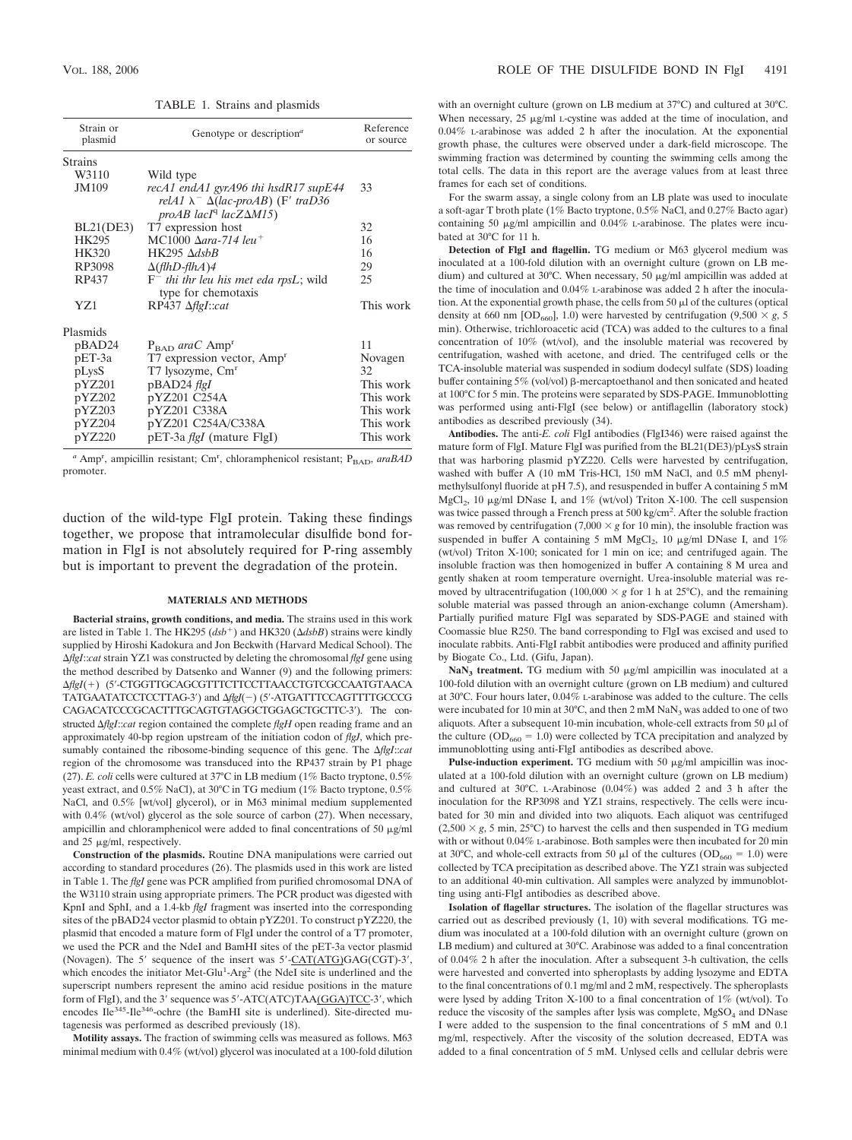TABLE 1. Strains and plasmids

| Strain or<br>plasmid | Genotype or description <sup>a</sup>             | Reference<br>or source |
|----------------------|--------------------------------------------------|------------------------|
| <b>Strains</b>       |                                                  |                        |
| W3110                | Wild type                                        |                        |
| <b>JM109</b>         | recA1 endA1 gyrA96 thi hsdR17 supE44             | 33                     |
|                      | relA1 $\lambda^- \Delta (lac$ -proAB) (F' traD36 |                        |
|                      | $proAB$ lacI <sup>q</sup> lacZ $\Delta M15$ )    |                        |
| BL21(DE3)            | T7 expression host                               | 32                     |
| HK295                | MC1000 $\Delta$ ara-714 leu <sup>+</sup>         | 16                     |
| <b>HK320</b>         | $HK295 \; \Delta dsbB$                           | 16                     |
| RP3098               | $\Delta$ (flhD-flhA)4                            | 29                     |
| RP437                | $F^-$ thi thr leu his met eda rpsL; wild         | 25                     |
|                      | type for chemotaxis                              |                        |
| Y7.1                 | $RP437 \Delta\text{flg}I::cat$                   | This work              |
| Plasmids             |                                                  |                        |
| pBAD24               | $P_{\text{BAD}}$ araC Amp <sup>r</sup>           | 11                     |
| $pET-3a$             | T7 expression vector, Amp <sup>r</sup>           | Novagen                |
| pLysS                | T7 lysozyme, Cm <sup>r</sup>                     | 32                     |
| pYZ201               | pBAD24 flgI                                      | This work              |
| pYZ202               | pYZ201 C254A                                     | This work              |
| pYZ203               | pYZ201 C338A                                     | This work              |
| pYZ204               | pYZ201 C254A/C338A                               | This work              |
| pYZ220               | pET-3a <i>flgI</i> (mature FlgI)                 | This work              |

<sup>a</sup> Amp<sup>r</sup>, ampicillin resistant; Cm<sup>r</sup>, chloramphenicol resistant; P<sub>BAD</sub>, araBAD promoter.

duction of the wild-type FlgI protein. Taking these findings together, we propose that intramolecular disulfide bond formation in FlgI is not absolutely required for P-ring assembly but is important to prevent the degradation of the protein.

### **MATERIALS AND METHODS**

**Bacterial strains, growth conditions, and media.** The strains used in this work are listed in Table 1. The HK295  $(dsb<sup>+</sup>)$  and HK320  $(\Delta dsbB)$  strains were kindly supplied by Hiroshi Kadokura and Jon Beckwith (Harvard Medical School). The *flgI*::*cat* strain YZ1 was constructed by deleting the chromosomal *flgI* gene using the method described by Datsenko and Wanner (9) and the following primers: *flgI*() (5-CTGGTTGCAGCGTTTCTTCCTTAACCTGTCGCCAATGTAACA TATGAATATCCTCCTTAG-3') and  $\Delta f |gl(-)$  (5'-ATGATTTCCAGTTTTGCCCG CAGACATCCCGCACTTTGCAGTGTAGGCTGGAGCTGCTTC-3). The constructed *flgI*::*cat* region contained the complete *flgH* open reading frame and an approximately 40-bp region upstream of the initiation codon of *flgJ*, which presumably contained the ribosome-binding sequence of this gene. The  $\Delta flgI::cat$ region of the chromosome was transduced into the RP437 strain by P1 phage (27). *E. coli* cells were cultured at 37°C in LB medium (1% Bacto tryptone, 0.5% yeast extract, and 0.5% NaCl), at 30°C in TG medium (1% Bacto tryptone, 0.5% NaCl, and 0.5% [wt/vol] glycerol), or in M63 minimal medium supplemented with 0.4% (wt/vol) glycerol as the sole source of carbon (27). When necessary, ampicillin and chloramphenicol were added to final concentrations of 50  $\mu$ g/ml and  $25 \mu g/ml$ , respectively.

**Construction of the plasmids.** Routine DNA manipulations were carried out according to standard procedures (26). The plasmids used in this work are listed in Table 1. The *flgI* gene was PCR amplified from purified chromosomal DNA of the W3110 strain using appropriate primers. The PCR product was digested with KpnI and SphI, and a 1.4-kb *flgI* fragment was inserted into the corresponding sites of the pBAD24 vector plasmid to obtain pYZ201. To construct pYZ220, the plasmid that encoded a mature form of FlgI under the control of a T7 promoter, we used the PCR and the NdeI and BamHI sites of the pET-3a vector plasmid (Novagen). The 5' sequence of the insert was  $5'-\text{CAT}(ATG)GAG(CGT)-3'$ , which encodes the initiator Met-Glu<sup>1</sup>-Arg<sup>2</sup> (the NdeI site is underlined and the superscript numbers represent the amino acid residue positions in the mature form of FlgI), and the 3' sequence was 5'-ATC(ATC)TAA(GGA)TCC-3', which encodes Ile<sup>345</sup>-Ile<sup>346</sup>-ochre (the BamHI site is underlined). Site-directed mutagenesis was performed as described previously (18).

**Motility assays.** The fraction of swimming cells was measured as follows. M63 minimal medium with 0.4% (wt/vol) glycerol was inoculated at a 100-fold dilution with an overnight culture (grown on LB medium at 37°C) and cultured at 30°C. When necessary,  $25 \mu g/ml$  L-cystine was added at the time of inoculation, and 0.04% L-arabinose was added 2 h after the inoculation. At the exponential growth phase, the cultures were observed under a dark-field microscope. The swimming fraction was determined by counting the swimming cells among the total cells. The data in this report are the average values from at least three frames for each set of conditions.

For the swarm assay, a single colony from an LB plate was used to inoculate a soft-agar T broth plate (1% Bacto tryptone,  $0.5\%$  NaCl, and  $0.27\%$  Bacto agar) containing 50  $\mu$ g/ml ampicillin and 0.04% L-arabinose. The plates were incubated at 30°C for 11 h.

**Detection of FlgI and flagellin.** TG medium or M63 glycerol medium was inoculated at a 100-fold dilution with an overnight culture (grown on LB medium) and cultured at 30°C. When necessary, 50  $\mu$ g/ml ampicillin was added at the time of inoculation and 0.04% L-arabinose was added 2 h after the inoculation. At the exponential growth phase, the cells from  $50 \mu$  of the cultures (optical density at 660 nm [OD<sub>660</sub>], 1.0) were harvested by centrifugation (9,500  $\times$  g, 5 min). Otherwise, trichloroacetic acid (TCA) was added to the cultures to a final concentration of 10% (wt/vol), and the insoluble material was recovered by centrifugation, washed with acetone, and dried. The centrifuged cells or the TCA-insoluble material was suspended in sodium dodecyl sulfate (SDS) loading buffer containing  $5\%$  (vol/vol)  $\beta$ -mercaptoethanol and then sonicated and heated at 100°C for 5 min. The proteins were separated by SDS-PAGE. Immunoblotting was performed using anti-FlgI (see below) or antiflagellin (laboratory stock) antibodies as described previously (34).

**Antibodies.** The anti-*E. coli* FlgI antibodies (FlgI346) were raised against the mature form of FlgI. Mature FlgI was purified from the BL21(DE3)/pLysS strain that was harboring plasmid pYZ220. Cells were harvested by centrifugation, washed with buffer A (10 mM Tris-HCl, 150 mM NaCl, and 0.5 mM phenylmethylsulfonyl fluoride at pH 7.5), and resuspended in buffer A containing 5 mM MgCl<sub>2</sub>, 10  $\mu$ g/ml DNase I, and 1% (wt/vol) Triton X-100. The cell suspension was twice passed through a French press at 500 kg/cm<sup>2</sup>. After the soluble fraction was removed by centrifugation (7,000  $\times$  g for 10 min), the insoluble fraction was suspended in buffer A containing 5 mM  $MgCl<sub>2</sub>$ , 10  $\mu g/ml$  DNase I, and 1% (wt/vol) Triton X-100; sonicated for 1 min on ice; and centrifuged again. The insoluble fraction was then homogenized in buffer A containing 8 M urea and gently shaken at room temperature overnight. Urea-insoluble material was removed by ultracentrifugation (100,000  $\times$  g for 1 h at 25°C), and the remaining soluble material was passed through an anion-exchange column (Amersham). Partially purified mature FlgI was separated by SDS-PAGE and stained with Coomassie blue R250. The band corresponding to FlgI was excised and used to inoculate rabbits. Anti-FlgI rabbit antibodies were produced and affinity purified by Biogate Co., Ltd. (Gifu, Japan).

 $\text{NaN}_3$  **treatment.** TG medium with 50  $\mu$ g/ml ampicillin was inoculated at a 100-fold dilution with an overnight culture (grown on LB medium) and cultured at 30°C. Four hours later, 0.04% L-arabinose was added to the culture. The cells were incubated for 10 min at 30 $^{\circ}$ C, and then 2 mM NaN<sub>3</sub> was added to one of two aliquots. After a subsequent 10-min incubation, whole-cell extracts from 50  $\mu$ l of the culture ( $OD_{660} = 1.0$ ) were collected by TCA precipitation and analyzed by immunoblotting using anti-FlgI antibodies as described above.

**Pulse-induction experiment.** TG medium with 50  $\mu$ g/ml ampicillin was inoculated at a 100-fold dilution with an overnight culture (grown on LB medium) and cultured at 30°C. L-Arabinose (0.04%) was added 2 and 3 h after the inoculation for the RP3098 and YZ1 strains, respectively. The cells were incubated for 30 min and divided into two aliquots. Each aliquot was centrifuged  $(2,500 \times g, 5 \text{ min}, 25^{\circ}\text{C})$  to harvest the cells and then suspended in TG medium with or without 0.04% L-arabinose. Both samples were then incubated for 20 min at 30°C, and whole-cell extracts from 50  $\mu$ l of the cultures (OD<sub>660</sub> = 1.0) were collected by TCA precipitation as described above. The YZ1 strain was subjected to an additional 40-min cultivation. All samples were analyzed by immunoblotting using anti-FlgI antibodies as described above.

**Isolation of flagellar structures.** The isolation of the flagellar structures was carried out as described previously (1, 10) with several modifications. TG medium was inoculated at a 100-fold dilution with an overnight culture (grown on LB medium) and cultured at 30°C. Arabinose was added to a final concentration of 0.04% 2 h after the inoculation. After a subsequent 3-h cultivation, the cells were harvested and converted into spheroplasts by adding lysozyme and EDTA to the final concentrations of 0.1 mg/ml and 2 mM, respectively. The spheroplasts were lysed by adding Triton X-100 to a final concentration of 1% (wt/vol). To reduce the viscosity of the samples after lysis was complete,  $MgSO<sub>4</sub>$  and DNase I were added to the suspension to the final concentrations of 5 mM and 0.1 mg/ml, respectively. After the viscosity of the solution decreased, EDTA was added to a final concentration of 5 mM. Unlysed cells and cellular debris were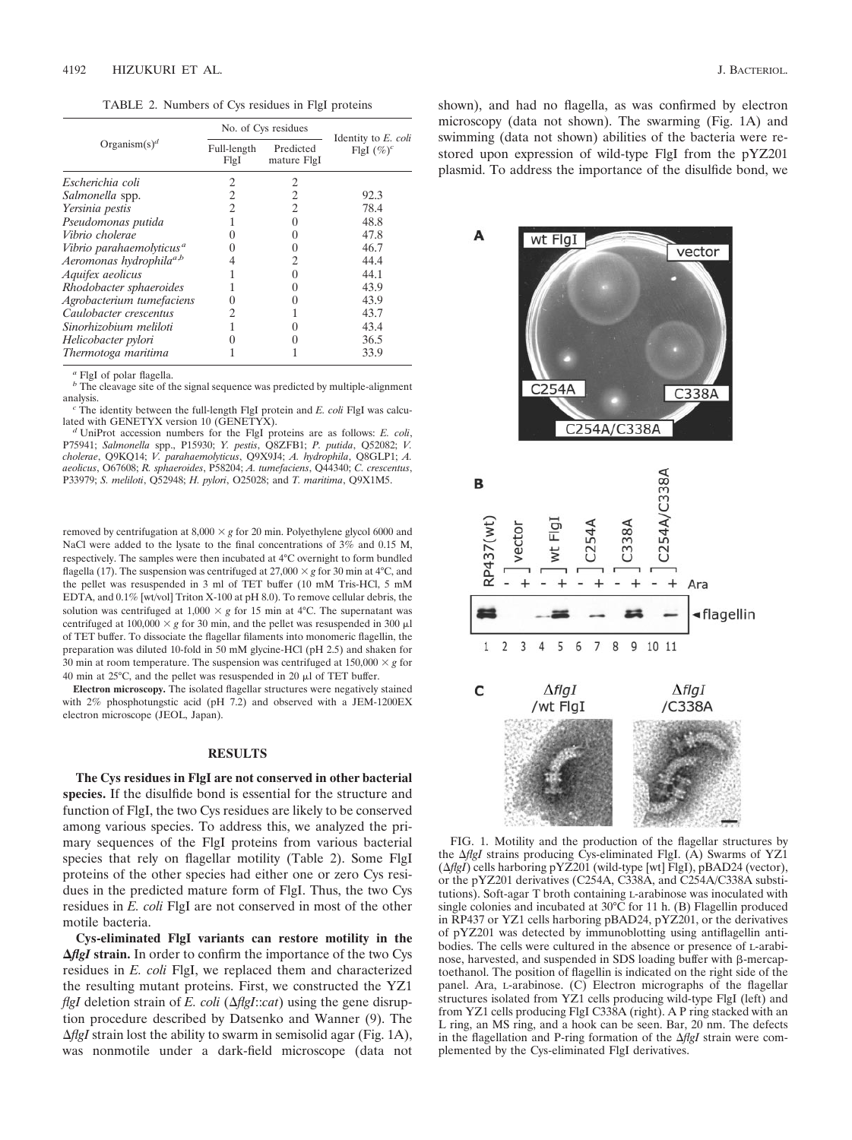TABLE 2. Numbers of Cys residues in FlgI proteins

|                                      | No. of Cys residues  |                          |                                      |
|--------------------------------------|----------------------|--------------------------|--------------------------------------|
| Organism $(s)^d$                     | Full-length<br>Fig I | Predicted<br>mature FlgI | Identity to E. coli<br>FigI $(\%)^c$ |
| Escherichia coli                     | 2                    | 2                        |                                      |
| Salmonella spp.                      |                      | 2                        | 92.3                                 |
| Yersinia pestis                      |                      | 2                        | 78.4                                 |
| Pseudomonas putida                   |                      | 0                        | 48.8                                 |
| Vibrio cholerae                      |                      | $\mathbf{\Omega}$        | 47.8                                 |
| Vibrio parahaemolyticus <sup>a</sup> |                      | $\theta$                 | 46.7                                 |
| Aeromonas hydrophila <sup>a,b</sup>  |                      | 2                        | 44.4                                 |
| Aquifex aeolicus                     |                      | $\mathbf{\Omega}$        | 44.1                                 |
| Rhodobacter sphaeroides              |                      |                          | 43.9                                 |
| Agrobacterium tumefaciens            |                      |                          | 43.9                                 |
| Caulobacter crescentus               | 2                    |                          | 43.7                                 |
| Sinorhizobium meliloti               |                      |                          | 43.4                                 |
| Helicobacter pylori                  |                      |                          | 36.5                                 |
| Thermotoga maritima                  |                      |                          | 33.9                                 |

*<sup>a</sup>* FlgI of polar flagella.

*b* The cleavage site of the signal sequence was predicted by multiple-alignment

analysis.<br><sup>*c*</sup> The identity between the full-length FlgI protein and *E. coli* FlgI was calculated with GENETYX version 10 (GENETYX).

UniProt accession numbers for the FlgI proteins are as follows: *E. coli*, P75941; *Salmonella* spp., P15930; *Y. pestis*, Q8ZFB1; *P. putida*, Q52082; *V. cholerae*, Q9KQ14; *V. parahaemolyticus*, Q9X9J4; *A. hydrophila*, Q8GLP1; *A. aeolicus*, O67608; *R. sphaeroides*, P58204; *A. tumefaciens*, Q44340; *C. crescentus*, P33979; *S. meliloti*, Q52948; *H. pylori*, O25028; and *T. maritima*, Q9X1M5.

removed by centrifugation at  $8,000 \times g$  for 20 min. Polyethylene glycol 6000 and NaCl were added to the lysate to the final concentrations of 3% and 0.15 M, respectively. The samples were then incubated at 4°C overnight to form bundled flagella (17). The suspension was centrifuged at  $27,000 \times g$  for 30 min at 4°C, and the pellet was resuspended in 3 ml of TET buffer (10 mM Tris-HCl, 5 mM EDTA, and 0.1% [wt/vol] Triton X-100 at pH 8.0). To remove cellular debris, the solution was centrifuged at  $1,000 \times g$  for 15 min at 4°C. The supernatant was centrifuged at  $100,000 \times g$  for 30 min, and the pellet was resuspended in 300  $\mu$ l of TET buffer. To dissociate the flagellar filaments into monomeric flagellin, the preparation was diluted 10-fold in 50 mM glycine-HCl (pH 2.5) and shaken for 30 min at room temperature. The suspension was centrifuged at  $150,000 \times g$  for 40 min at  $25^{\circ}$ C, and the pellet was resuspended in 20  $\mu$ l of TET buffer.

**Electron microscopy.** The isolated flagellar structures were negatively stained with 2% phosphotungstic acid (pH 7.2) and observed with a JEM-1200EX electron microscope (JEOL, Japan).

# **RESULTS**

**The Cys residues in FlgI are not conserved in other bacterial species.** If the disulfide bond is essential for the structure and function of FlgI, the two Cys residues are likely to be conserved among various species. To address this, we analyzed the primary sequences of the FlgI proteins from various bacterial species that rely on flagellar motility (Table 2). Some FlgI proteins of the other species had either one or zero Cys residues in the predicted mature form of FlgI. Thus, the two Cys residues in *E. coli* FlgI are not conserved in most of the other motile bacteria.

**Cys-eliminated FlgI variants can restore motility in the** *<u>AflgI</u>* **strain.** In order to confirm the importance of the two Cys residues in *E. coli* FlgI, we replaced them and characterized the resulting mutant proteins. First, we constructed the YZ1 *flgI* deletion strain of *E. coli* ( $\Delta f$ *lgI*:*cat*) using the gene disruption procedure described by Datsenko and Wanner (9). The *flgI* strain lost the ability to swarm in semisolid agar (Fig. 1A), was nonmotile under a dark-field microscope (data not shown), and had no flagella, as was confirmed by electron microscopy (data not shown). The swarming (Fig. 1A) and swimming (data not shown) abilities of the bacteria were restored upon expression of wild-type FlgI from the pYZ201 plasmid. To address the importance of the disulfide bond, we



FIG. 1. Motility and the production of the flagellar structures by the *AflgI* strains producing Cys-eliminated FlgI. (A) Swarms of YZ1 (*flgI*) cells harboring pYZ201 (wild-type [wt] FlgI), pBAD24 (vector), or the pYZ201 derivatives (C254A, C338A, and C254A/C338A substitutions). Soft-agar T broth containing L-arabinose was inoculated with single colonies and incubated at 30°C for 11 h. (B) Flagellin produced in RP437 or YZ1 cells harboring pBAD24, pYZ201, or the derivatives of pYZ201 was detected by immunoblotting using antiflagellin antibodies. The cells were cultured in the absence or presence of L-arabinose, harvested, and suspended in SDS loading buffer with β-mercaptoethanol. The position of flagellin is indicated on the right side of the panel. Ara, L-arabinose. (C) Electron micrographs of the flagellar structures isolated from YZ1 cells producing wild-type FlgI (left) and from YZ1 cells producing FlgI C338A (right). A P ring stacked with an L ring, an MS ring, and a hook can be seen. Bar, 20 nm. The defects in the flagellation and P-ring formation of the *flgI* strain were complemented by the Cys-eliminated FlgI derivatives.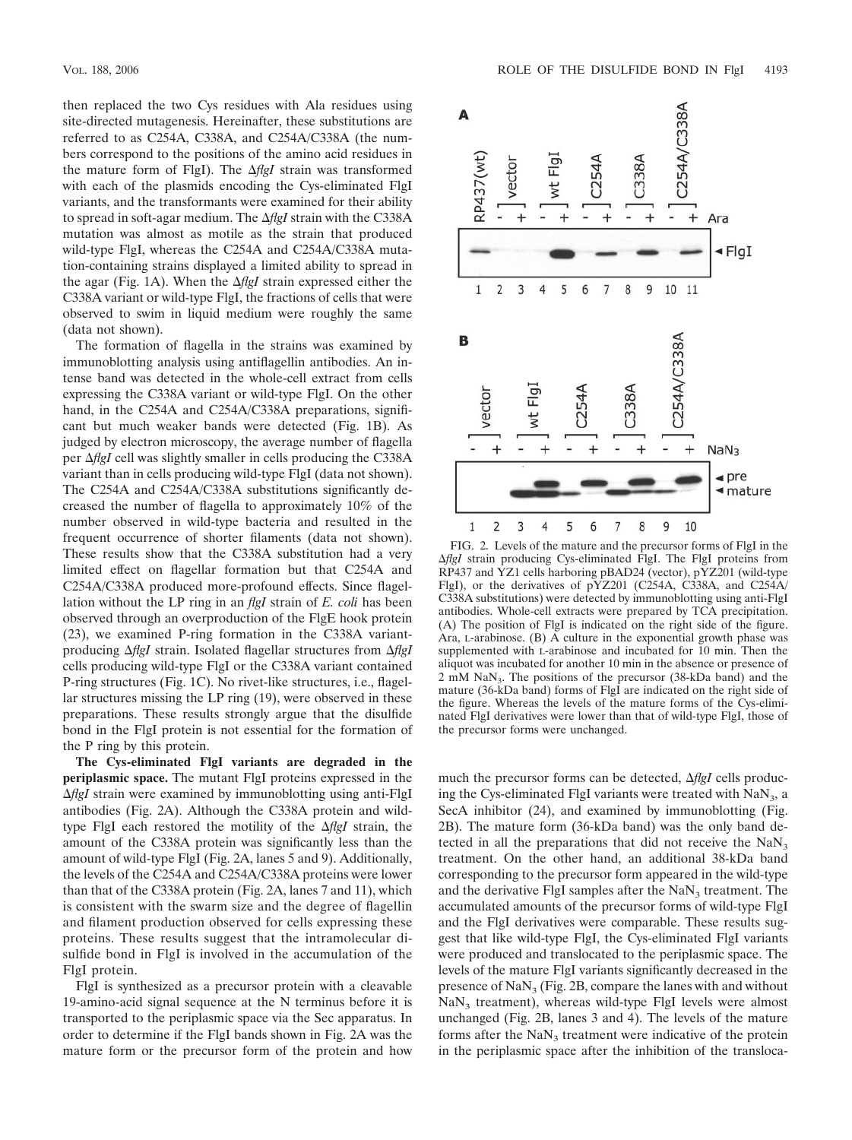then replaced the two Cys residues with Ala residues using site-directed mutagenesis. Hereinafter, these substitutions are referred to as C254A, C338A, and C254A/C338A (the numbers correspond to the positions of the amino acid residues in the mature form of FlgI). The  $\Delta f$ gI strain was transformed with each of the plasmids encoding the Cys-eliminated FlgI variants, and the transformants were examined for their ability to spread in soft-agar medium. The  $\Delta f$ gI strain with the C338A mutation was almost as motile as the strain that produced wild-type FlgI, whereas the C254A and C254A/C338A mutation-containing strains displayed a limited ability to spread in the agar (Fig. 1A). When the  $\Delta f$ gI strain expressed either the C338A variant or wild-type FlgI, the fractions of cells that were observed to swim in liquid medium were roughly the same (data not shown).

The formation of flagella in the strains was examined by immunoblotting analysis using antiflagellin antibodies. An intense band was detected in the whole-cell extract from cells expressing the C338A variant or wild-type FlgI. On the other hand, in the C254A and C254A/C338A preparations, significant but much weaker bands were detected (Fig. 1B). As judged by electron microscopy, the average number of flagella per  $\Delta f$ g*I* cell was slightly smaller in cells producing the C338A variant than in cells producing wild-type FlgI (data not shown). The C254A and C254A/C338A substitutions significantly decreased the number of flagella to approximately 10% of the number observed in wild-type bacteria and resulted in the frequent occurrence of shorter filaments (data not shown). These results show that the C338A substitution had a very limited effect on flagellar formation but that C254A and C254A/C338A produced more-profound effects. Since flagellation without the LP ring in an *flgI* strain of *E. coli* has been observed through an overproduction of the FlgE hook protein (23), we examined P-ring formation in the C338A variantproducing *flgI* strain. Isolated flagellar structures from *flgI* cells producing wild-type FlgI or the C338A variant contained P-ring structures (Fig. 1C). No rivet-like structures, i.e., flagellar structures missing the LP ring (19), were observed in these preparations. These results strongly argue that the disulfide bond in the FlgI protein is not essential for the formation of the P ring by this protein.

**The Cys-eliminated FlgI variants are degraded in the periplasmic space.** The mutant FlgI proteins expressed in the *flgI* strain were examined by immunoblotting using anti-FlgI antibodies (Fig. 2A). Although the C338A protein and wildtype FlgI each restored the motility of the  $\Delta f$ gI strain, the amount of the C338A protein was significantly less than the amount of wild-type FlgI (Fig. 2A, lanes 5 and 9). Additionally, the levels of the C254A and C254A/C338A proteins were lower than that of the C338A protein (Fig. 2A, lanes 7 and 11), which is consistent with the swarm size and the degree of flagellin and filament production observed for cells expressing these proteins. These results suggest that the intramolecular disulfide bond in FlgI is involved in the accumulation of the FlgI protein.

FlgI is synthesized as a precursor protein with a cleavable 19-amino-acid signal sequence at the N terminus before it is transported to the periplasmic space via the Sec apparatus. In order to determine if the FlgI bands shown in Fig. 2A was the mature form or the precursor form of the protein and how



FIG. 2. Levels of the mature and the precursor forms of FlgI in the *AflgI* strain producing Cys-eliminated FlgI. The FlgI proteins from RP437 and YZ1 cells harboring pBAD24 (vector), pYZ201 (wild-type FlgI), or the derivatives of pYZ201 (C254A, C338A, and C254A/ C338A substitutions) were detected by immunoblotting using anti-FlgI antibodies. Whole-cell extracts were prepared by TCA precipitation. (A) The position of FlgI is indicated on the right side of the figure. Ara, L-arabinose. (B) A culture in the exponential growth phase was supplemented with L-arabinose and incubated for 10 min. Then the aliquot was incubated for another 10 min in the absence or presence of 2 mM NaN<sub>3</sub>. The positions of the precursor (38-kDa band) and the mature (36-kDa band) forms of FlgI are indicated on the right side of the figure. Whereas the levels of the mature forms of the Cys-eliminated FlgI derivatives were lower than that of wild-type FlgI, those of the precursor forms were unchanged.

much the precursor forms can be detected, Δ*flgI* cells producing the Cys-eliminated FlgI variants were treated with  $\text{Na}\text{N}_3$ , a SecA inhibitor (24), and examined by immunoblotting (Fig. 2B). The mature form (36-kDa band) was the only band detected in all the preparations that did not receive the  $NaN<sub>3</sub>$ treatment. On the other hand, an additional 38-kDa band corresponding to the precursor form appeared in the wild-type and the derivative FlgI samples after the  $\text{Na}\text{N}_3$  treatment. The accumulated amounts of the precursor forms of wild-type FlgI and the FlgI derivatives were comparable. These results suggest that like wild-type FlgI, the Cys-eliminated FlgI variants were produced and translocated to the periplasmic space. The levels of the mature FlgI variants significantly decreased in the presence of  $\text{NaN}_3$  (Fig. 2B, compare the lanes with and without  $\text{Na}\text{N}_3$  treatment), whereas wild-type FlgI levels were almost unchanged (Fig. 2B, lanes 3 and 4). The levels of the mature forms after the  $\text{Na}\text{N}_3$  treatment were indicative of the protein in the periplasmic space after the inhibition of the transloca-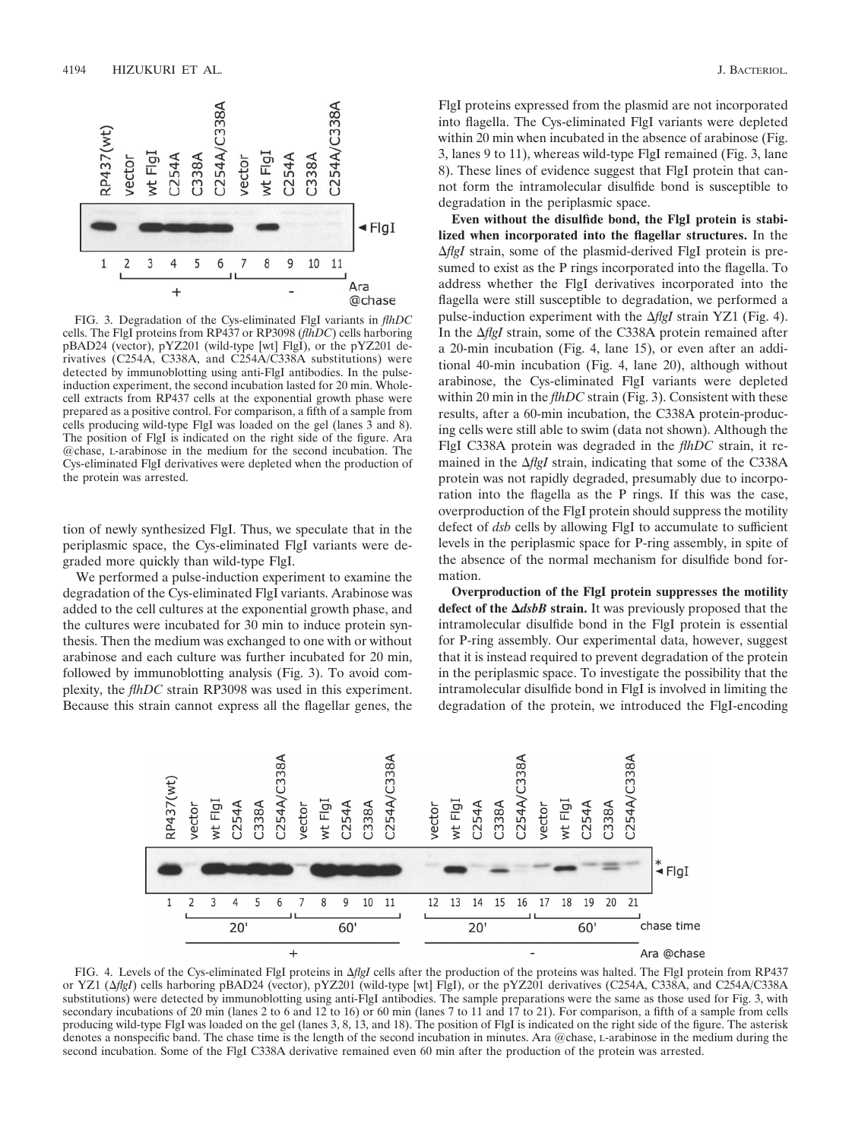

FIG. 3. Degradation of the Cys-eliminated FlgI variants in *flhDC* cells. The FlgI proteins from RP437 or RP3098 (*flhDC*) cells harboring pBAD24 (vector), pYZ201 (wild-type [wt] FlgI), or the pYZ201 derivatives (C254A, C338A, and C254A/C338A substitutions) were detected by immunoblotting using anti-FlgI antibodies. In the pulseinduction experiment, the second incubation lasted for 20 min. Wholecell extracts from RP437 cells at the exponential growth phase were prepared as a positive control. For comparison, a fifth of a sample from cells producing wild-type FlgI was loaded on the gel (lanes 3 and 8). The position of FlgI is indicated on the right side of the figure. Ara @chase, L-arabinose in the medium for the second incubation. The Cys-eliminated FlgI derivatives were depleted when the production of the protein was arrested.

tion of newly synthesized FlgI. Thus, we speculate that in the periplasmic space, the Cys-eliminated FlgI variants were degraded more quickly than wild-type FlgI.

We performed a pulse-induction experiment to examine the degradation of the Cys-eliminated FlgI variants. Arabinose was added to the cell cultures at the exponential growth phase, and the cultures were incubated for 30 min to induce protein synthesis. Then the medium was exchanged to one with or without arabinose and each culture was further incubated for 20 min, followed by immunoblotting analysis (Fig. 3). To avoid complexity, the *flhDC* strain RP3098 was used in this experiment. Because this strain cannot express all the flagellar genes, the FlgI proteins expressed from the plasmid are not incorporated into flagella. The Cys-eliminated FlgI variants were depleted within 20 min when incubated in the absence of arabinose (Fig. 3, lanes 9 to 11), whereas wild-type FlgI remained (Fig. 3, lane 8). These lines of evidence suggest that FlgI protein that cannot form the intramolecular disulfide bond is susceptible to degradation in the periplasmic space.

**Even without the disulfide bond, the FlgI protein is stabilized when incorporated into the flagellar structures.** In the *<i>AflgI* strain, some of the plasmid-derived FlgI protein is presumed to exist as the P rings incorporated into the flagella. To address whether the FlgI derivatives incorporated into the flagella were still susceptible to degradation, we performed a pulse-induction experiment with the Δ*flgI* strain YZ1 (Fig. 4). In the  $\Delta f$ lg*I* strain, some of the C338A protein remained after a 20-min incubation (Fig. 4, lane 15), or even after an additional 40-min incubation (Fig. 4, lane 20), although without arabinose, the Cys-eliminated FlgI variants were depleted within 20 min in the *flhDC* strain (Fig. 3). Consistent with these results, after a 60-min incubation, the C338A protein-producing cells were still able to swim (data not shown). Although the FlgI C338A protein was degraded in the *flhDC* strain, it remained in the  $\Delta f$ gI strain, indicating that some of the C338A protein was not rapidly degraded, presumably due to incorporation into the flagella as the P rings. If this was the case, overproduction of the FlgI protein should suppress the motility defect of *dsb* cells by allowing FlgI to accumulate to sufficient levels in the periplasmic space for P-ring assembly, in spite of the absence of the normal mechanism for disulfide bond formation.

**Overproduction of the FlgI protein suppresses the motility defect of the** *dsbB* **strain.** It was previously proposed that the intramolecular disulfide bond in the FlgI protein is essential for P-ring assembly. Our experimental data, however, suggest that it is instead required to prevent degradation of the protein in the periplasmic space. To investigate the possibility that the intramolecular disulfide bond in FlgI is involved in limiting the degradation of the protein, we introduced the FlgI-encoding



FIG. 4. Levels of the Cys-eliminated FlgI proteins in *flgI* cells after the production of the proteins was halted. The FlgI protein from RP437 or YZ1 (*flgI*) cells harboring pBAD24 (vector), pYZ201 (wild-type [wt] FlgI), or the pYZ201 derivatives (C254A, C338A, and C254A/C338A substitutions) were detected by immunoblotting using anti-FlgI antibodies. The sample preparations were the same as those used for Fig. 3, with secondary incubations of 20 min (lanes 2 to 6 and 12 to 16) or 60 min (lanes 7 to 11 and 17 to 21). For comparison, a fifth of a sample from cells producing wild-type FlgI was loaded on the gel (lanes 3, 8, 13, and 18). The position of FlgI is indicated on the right side of the figure. The asterisk denotes a nonspecific band. The chase time is the length of the second incubation in minutes. Ara @chase, L-arabinose in the medium during the second incubation. Some of the FlgI C338A derivative remained even 60 min after the production of the protein was arrested.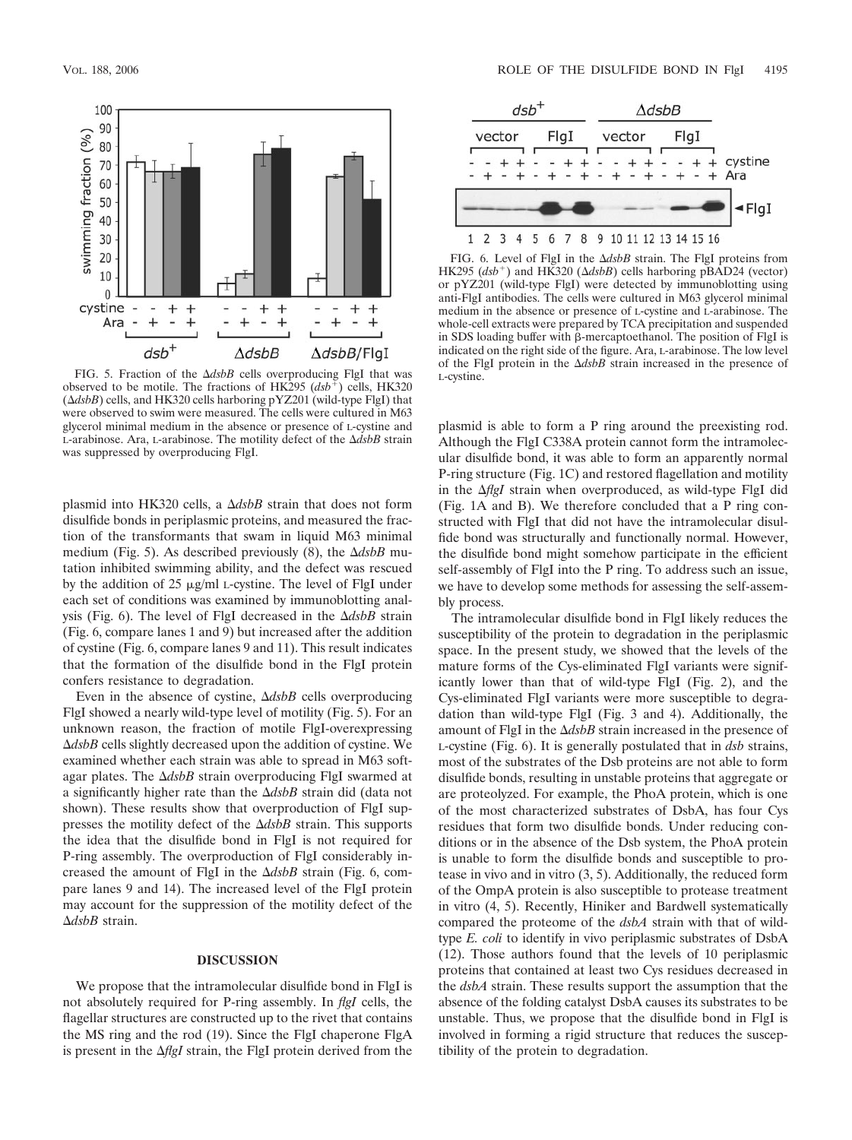

FIG. 5. Fraction of the  $\Delta dsbB$  cells overproducing FlgI that was L-cystine. observed to be motile. The fractions of HK295  $(dsb^{\dagger})$  cells, HK320  $(\Delta dsbB)$  cells, and HK320 cells harboring pYZ201 (wild-type FlgI) that were observed to swim were measured. The cells were cultured in M63 glycerol minimal medium in the absence or presence of L-cystine and L-arabinose. Ara, L-arabinose. The motility defect of the *dsbB* strain was suppressed by overproducing FlgI.

plasmid into HK320 cells, a  $\Delta dsbB$  strain that does not form disulfide bonds in periplasmic proteins, and measured the fraction of the transformants that swam in liquid M63 minimal medium (Fig. 5). As described previously (8), the  $\Delta dsbB$  mutation inhibited swimming ability, and the defect was rescued by the addition of  $25 \mu g/ml$  L-cystine. The level of FlgI under each set of conditions was examined by immunoblotting analysis (Fig. 6). The level of FlgI decreased in the *dsbB* strain (Fig. 6, compare lanes 1 and 9) but increased after the addition of cystine (Fig. 6, compare lanes 9 and 11). This result indicates that the formation of the disulfide bond in the FlgI protein confers resistance to degradation.

Even in the absence of cystine,  $\Delta dsbB$  cells overproducing FlgI showed a nearly wild-type level of motility (Fig. 5). For an unknown reason, the fraction of motile FlgI-overexpressing *dsbB* cells slightly decreased upon the addition of cystine. We examined whether each strain was able to spread in M63 softagar plates. The  $\Delta dsbB$  strain overproducing FlgI swarmed at a significantly higher rate than the *dsbB* strain did (data not shown). These results show that overproduction of FlgI suppresses the motility defect of the  $\Delta dsbB$  strain. This supports the idea that the disulfide bond in FlgI is not required for P-ring assembly. The overproduction of FlgI considerably increased the amount of FlgI in the  $\Delta dsbB$  strain (Fig. 6, compare lanes 9 and 14). The increased level of the FlgI protein may account for the suppression of the motility defect of the *dsbB* strain.

## **DISCUSSION**

We propose that the intramolecular disulfide bond in FlgI is not absolutely required for P-ring assembly. In *flgI* cells, the flagellar structures are constructed up to the rivet that contains the MS ring and the rod (19). Since the FlgI chaperone FlgA is present in the  $\Delta f$ g*I* strain, the FlgI protein derived from the



FIG. 6. Level of FlgI in the  $\Delta dsbB$  strain. The FlgI proteins from HK295 ( $dsb^+$ ) and HK320 ( $\Delta dsbB$ ) cells harboring pBAD24 (vector) or pYZ201 (wild-type FlgI) were detected by immunoblotting using anti-FlgI antibodies. The cells were cultured in M63 glycerol minimal medium in the absence or presence of L-cystine and L-arabinose. The whole-cell extracts were prepared by TCA precipitation and suspended in SDS loading buffer with  $\beta$ -mercaptoethanol. The position of FlgI is indicated on the right side of the figure. Ara, L-arabinose. The low level of the FIgI protein in the  $\Delta dsDB$  strain increased in the presence of

plasmid is able to form a P ring around the preexisting rod. Although the FlgI C338A protein cannot form the intramolecular disulfide bond, it was able to form an apparently normal P-ring structure (Fig. 1C) and restored flagellation and motility in the *AflgI* strain when overproduced, as wild-type FlgI did (Fig. 1A and B). We therefore concluded that a P ring constructed with FlgI that did not have the intramolecular disulfide bond was structurally and functionally normal. However, the disulfide bond might somehow participate in the efficient self-assembly of FlgI into the P ring. To address such an issue, we have to develop some methods for assessing the self-assembly process.

The intramolecular disulfide bond in FlgI likely reduces the susceptibility of the protein to degradation in the periplasmic space. In the present study, we showed that the levels of the mature forms of the Cys-eliminated FlgI variants were significantly lower than that of wild-type FlgI (Fig. 2), and the Cys-eliminated FlgI variants were more susceptible to degradation than wild-type FlgI (Fig. 3 and 4). Additionally, the amount of FlgI in the  $\Delta dsbB$  strain increased in the presence of L-cystine (Fig. 6). It is generally postulated that in *dsb* strains, most of the substrates of the Dsb proteins are not able to form disulfide bonds, resulting in unstable proteins that aggregate or are proteolyzed. For example, the PhoA protein, which is one of the most characterized substrates of DsbA, has four Cys residues that form two disulfide bonds. Under reducing conditions or in the absence of the Dsb system, the PhoA protein is unable to form the disulfide bonds and susceptible to protease in vivo and in vitro (3, 5). Additionally, the reduced form of the OmpA protein is also susceptible to protease treatment in vitro (4, 5). Recently, Hiniker and Bardwell systematically compared the proteome of the *dsbA* strain with that of wildtype *E. coli* to identify in vivo periplasmic substrates of DsbA (12). Those authors found that the levels of 10 periplasmic proteins that contained at least two Cys residues decreased in the *dsbA* strain. These results support the assumption that the absence of the folding catalyst DsbA causes its substrates to be unstable. Thus, we propose that the disulfide bond in FlgI is involved in forming a rigid structure that reduces the susceptibility of the protein to degradation.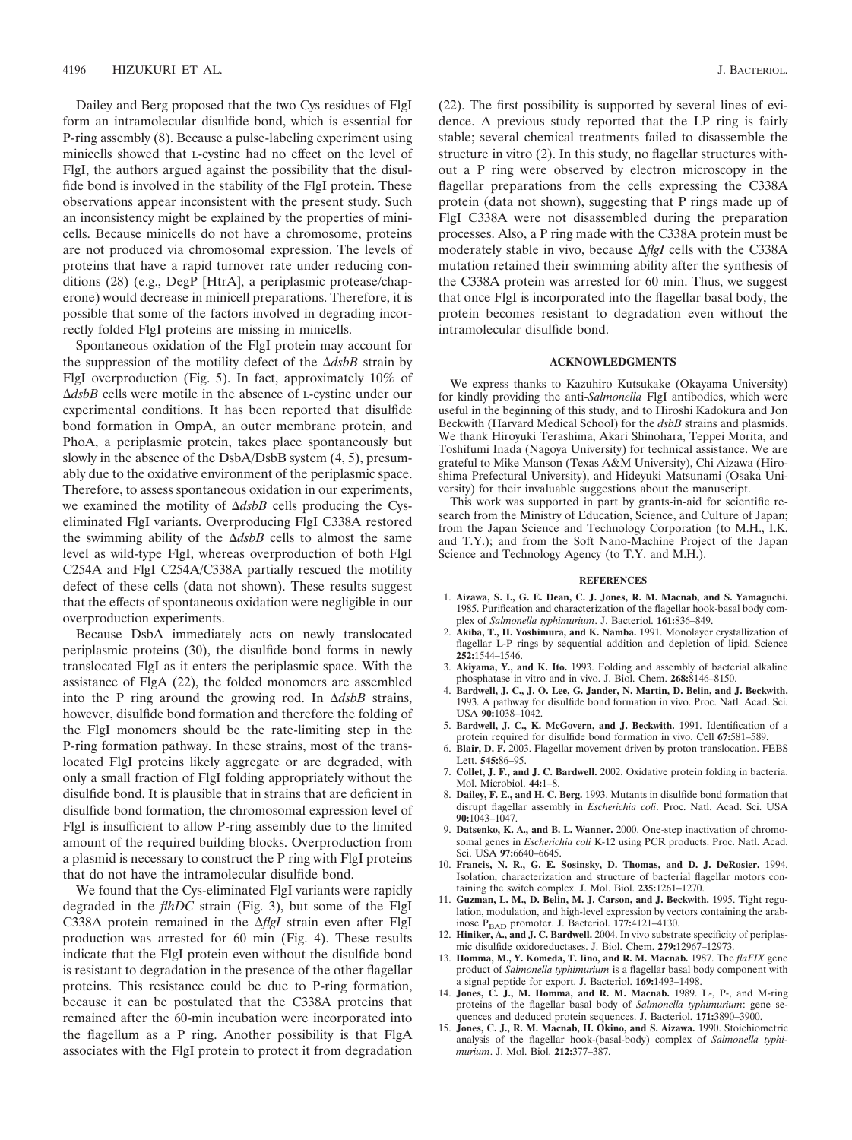Dailey and Berg proposed that the two Cys residues of FlgI form an intramolecular disulfide bond, which is essential for P-ring assembly (8). Because a pulse-labeling experiment using minicells showed that L-cystine had no effect on the level of FlgI, the authors argued against the possibility that the disulfide bond is involved in the stability of the FlgI protein. These observations appear inconsistent with the present study. Such an inconsistency might be explained by the properties of minicells. Because minicells do not have a chromosome, proteins are not produced via chromosomal expression. The levels of proteins that have a rapid turnover rate under reducing conditions (28) (e.g., DegP [HtrA], a periplasmic protease/chaperone) would decrease in minicell preparations. Therefore, it is possible that some of the factors involved in degrading incorrectly folded FlgI proteins are missing in minicells.

Spontaneous oxidation of the FlgI protein may account for the suppression of the motility defect of the  $\Delta dsbB$  strain by FlgI overproduction (Fig. 5). In fact, approximately 10% of *dsbB* cells were motile in the absence of L-cystine under our experimental conditions. It has been reported that disulfide bond formation in OmpA, an outer membrane protein, and PhoA, a periplasmic protein, takes place spontaneously but slowly in the absence of the DsbA/DsbB system (4, 5), presumably due to the oxidative environment of the periplasmic space. Therefore, to assess spontaneous oxidation in our experiments, we examined the motility of  $\Delta dsbB$  cells producing the Cyseliminated FlgI variants. Overproducing FlgI C338A restored the swimming ability of the  $\Delta dsbB$  cells to almost the same level as wild-type FlgI, whereas overproduction of both FlgI C254A and FlgI C254A/C338A partially rescued the motility defect of these cells (data not shown). These results suggest that the effects of spontaneous oxidation were negligible in our overproduction experiments.

Because DsbA immediately acts on newly translocated periplasmic proteins (30), the disulfide bond forms in newly translocated FlgI as it enters the periplasmic space. With the assistance of FlgA (22), the folded monomers are assembled into the P ring around the growing rod. In  $\Delta dsbB$  strains, however, disulfide bond formation and therefore the folding of the FlgI monomers should be the rate-limiting step in the P-ring formation pathway. In these strains, most of the translocated FlgI proteins likely aggregate or are degraded, with only a small fraction of FlgI folding appropriately without the disulfide bond. It is plausible that in strains that are deficient in disulfide bond formation, the chromosomal expression level of FlgI is insufficient to allow P-ring assembly due to the limited amount of the required building blocks. Overproduction from a plasmid is necessary to construct the P ring with FlgI proteins that do not have the intramolecular disulfide bond.

We found that the Cys-eliminated FlgI variants were rapidly degraded in the *flhDC* strain (Fig. 3), but some of the FlgI C338A protein remained in the  $\Delta f$ gI strain even after FlgI production was arrested for 60 min (Fig. 4). These results indicate that the FlgI protein even without the disulfide bond is resistant to degradation in the presence of the other flagellar proteins. This resistance could be due to P-ring formation, because it can be postulated that the C338A proteins that remained after the 60-min incubation were incorporated into the flagellum as a P ring. Another possibility is that FlgA associates with the FlgI protein to protect it from degradation

(22). The first possibility is supported by several lines of evidence. A previous study reported that the LP ring is fairly stable; several chemical treatments failed to disassemble the structure in vitro (2). In this study, no flagellar structures without a P ring were observed by electron microscopy in the flagellar preparations from the cells expressing the C338A protein (data not shown), suggesting that P rings made up of FlgI C338A were not disassembled during the preparation processes. Also, a P ring made with the C338A protein must be moderately stable in vivo, because Δ*flgI* cells with the C338A mutation retained their swimming ability after the synthesis of the C338A protein was arrested for 60 min. Thus, we suggest that once FlgI is incorporated into the flagellar basal body, the protein becomes resistant to degradation even without the intramolecular disulfide bond.

### **ACKNOWLEDGMENTS**

We express thanks to Kazuhiro Kutsukake (Okayama University) for kindly providing the anti-*Salmonella* FlgI antibodies, which were useful in the beginning of this study, and to Hiroshi Kadokura and Jon Beckwith (Harvard Medical School) for the *dsbB* strains and plasmids. We thank Hiroyuki Terashima, Akari Shinohara, Teppei Morita, and Toshifumi Inada (Nagoya University) for technical assistance. We are grateful to Mike Manson (Texas A&M University), Chi Aizawa (Hiroshima Prefectural University), and Hideyuki Matsunami (Osaka University) for their invaluable suggestions about the manuscript.

This work was supported in part by grants-in-aid for scientific research from the Ministry of Education, Science, and Culture of Japan; from the Japan Science and Technology Corporation (to M.H., I.K. and T.Y.); and from the Soft Nano-Machine Project of the Japan Science and Technology Agency (to T.Y. and M.H.).

#### **REFERENCES**

- 1. **Aizawa, S. I., G. E. Dean, C. J. Jones, R. M. Macnab, and S. Yamaguchi.** 1985. Purification and characterization of the flagellar hook-basal body complex of *Salmonella typhimurium*. J. Bacteriol. **161:**836–849.
- 2. **Akiba, T., H. Yoshimura, and K. Namba.** 1991. Monolayer crystallization of flagellar L-P rings by sequential addition and depletion of lipid. Science **252:**1544–1546.
- 3. **Akiyama, Y., and K. Ito.** 1993. Folding and assembly of bacterial alkaline phosphatase in vitro and in vivo. J. Biol. Chem. **268:**8146–8150.
- 4. **Bardwell, J. C., J. O. Lee, G. Jander, N. Martin, D. Belin, and J. Beckwith.** 1993. A pathway for disulfide bond formation in vivo. Proc. Natl. Acad. Sci. USA **90:**1038–1042.
- 5. **Bardwell, J. C., K. McGovern, and J. Beckwith.** 1991. Identification of a protein required for disulfide bond formation in vivo. Cell **67:**581–589.
- 6. **Blair, D. F.** 2003. Flagellar movement driven by proton translocation. FEBS Lett. **545:**86–95.
- 7. **Collet, J. F., and J. C. Bardwell.** 2002. Oxidative protein folding in bacteria. Mol. Microbiol. **44:**1–8.
- 8. **Dailey, F. E., and H. C. Berg.** 1993. Mutants in disulfide bond formation that disrupt flagellar assembly in *Escherichia coli*. Proc. Natl. Acad. Sci. USA **90:**1043–1047.
- 9. **Datsenko, K. A., and B. L. Wanner.** 2000. One-step inactivation of chromosomal genes in *Escherichia coli* K-12 using PCR products. Proc. Natl. Acad. Sci. USA **97:**6640–6645.
- 10. **Francis, N. R., G. E. Sosinsky, D. Thomas, and D. J. DeRosier.** 1994. Isolation, characterization and structure of bacterial flagellar motors containing the switch complex. J. Mol. Biol. **235:**1261–1270.
- 11. **Guzman, L. M., D. Belin, M. J. Carson, and J. Beckwith.** 1995. Tight regulation, modulation, and high-level expression by vectors containing the arabinose PBAD promoter. J. Bacteriol. **177:**4121–4130.
- 12. **Hiniker, A., and J. C. Bardwell.** 2004. In vivo substrate specificity of periplasmic disulfide oxidoreductases. J. Biol. Chem. **279:**12967–12973.
- 13. **Homma, M., Y. Komeda, T. Iino, and R. M. Macnab.** 1987. The *flaFIX* gene product of *Salmonella typhimurium* is a flagellar basal body component with a signal peptide for export. J. Bacteriol. **169:**1493–1498.
- 14. **Jones, C. J., M. Homma, and R. M. Macnab.** 1989. L-, P-, and M-ring proteins of the flagellar basal body of *Salmonella typhimurium*: gene sequences and deduced protein sequences. J. Bacteriol. **171:**3890–3900.
- 15. **Jones, C. J., R. M. Macnab, H. Okino, and S. Aizawa.** 1990. Stoichiometric analysis of the flagellar hook-(basal-body) complex of *Salmonella typhimurium*. J. Mol. Biol. **212:**377–387.